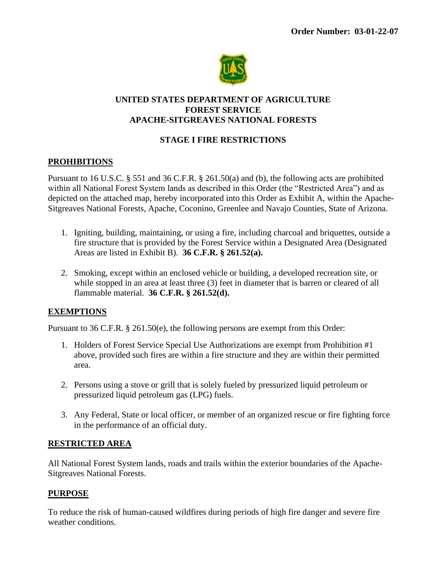

#### **UNITED STATES DEPARTMENT OF AGRICULTURE FOREST SERVICE APACHE-SITGREAVES NATIONAL FORESTS**

## **STAGE I FIRE RESTRICTIONS**

# **PROHIBITIONS**

Pursuant to 16 U.S.C. § 551 and 36 C.F.R. § 261.50(a) and (b), the following acts are prohibited within all National Forest System lands as described in this Order (the "Restricted Area") and as depicted on the attached map, hereby incorporated into this Order as Exhibit A, within the Apache-Sitgreaves National Forests, Apache, Coconino, Greenlee and Navajo Counties, State of Arizona.

- 1. Igniting, building, maintaining, or using a fire, including charcoal and briquettes, outside a fire structure that is provided by the Forest Service within a Designated Area (Designated Areas are listed in Exhibit B). **36 C.F.R. § 261.52(a).**
- 2. Smoking, except within an enclosed vehicle or building, a developed recreation site, or while stopped in an area at least three (3) feet in diameter that is barren or cleared of all flammable material. **36 C.F.R. § 261.52(d).**

## **EXEMPTIONS**

Pursuant to 36 C.F.R. § 261.50(e), the following persons are exempt from this Order:

- 1. Holders of Forest Service Special Use Authorizations are exempt from Prohibition #1 above, provided such fires are within a fire structure and they are within their permitted area.
- 2. Persons using a stove or grill that is solely fueled by pressurized liquid petroleum or pressurized liquid petroleum gas (LPG) fuels.
- 3. Any Federal, State or local officer, or member of an organized rescue or fire fighting force in the performance of an official duty.

## **RESTRICTED AREA**

All National Forest System lands, roads and trails within the exterior boundaries of the Apache-Sitgreaves National Forests.

## **PURPOSE**

To reduce the risk of human-caused wildfires during periods of high fire danger and severe fire weather conditions.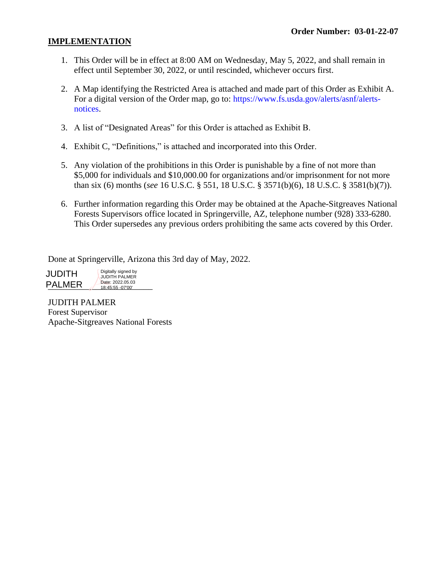#### **IMPLEMENTATION**

- 1. This Order will be in effect at 8:00 AM on Wednesday, May 5, 2022, and shall remain in effect until September 30, 2022, or until rescinded, whichever occurs first.
- 2. A Map identifying the Restricted Area is attached and made part of this Order as Exhibit A. For a digital version of the Order map, go to: https://www.fs.usda.gov/alerts/asnf/alertsnotices.
- 3. A list of "Designated Areas" for this Order is attached as Exhibit B.
- 4. Exhibit C, "Definitions," is attached and incorporated into this Order.
- 5. Any violation of the prohibitions in this Order is punishable by a fine of not more than \$5,000 for individuals and \$10,000.00 for organizations and/or imprisonment for not more than six (6) months (*see* 16 U.S.C. § 551, 18 U.S.C. § 3571(b)(6), 18 U.S.C. § 3581(b)(7)).
- 6. Further information regarding this Order may be obtained at the Apache-Sitgreaves National Forests Supervisors office located in Springerville, AZ, telephone number (928) 333-6280. This Order supersedes any previous orders prohibiting the same acts covered by this Order.

Done at Springerville, Arizona this 3rd day of May, 2022.

**PALMER** 2022.05.03 JUDITH Digitally signed by JUDITH PALMER Date: 2022.05.03 18:45:55 -07'00'

JUDITH PALMER Forest Supervisor Apache-Sitgreaves National Forests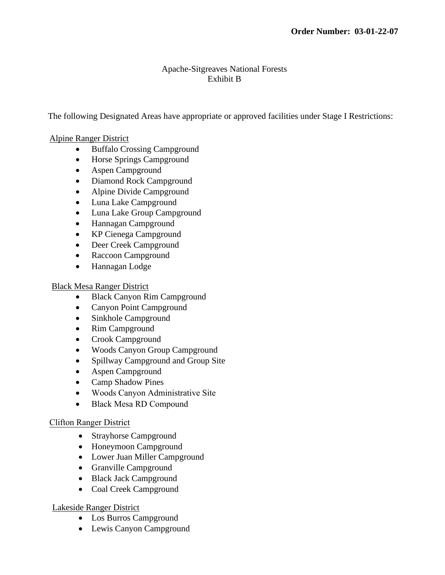## Apache-Sitgreaves National Forests Exhibit B

The following Designated Areas have appropriate or approved facilities under Stage I Restrictions:

#### Alpine Ranger District

- Buffalo Crossing Campground
- Horse Springs Campground
- Aspen Campground
- Diamond Rock Campground
- Alpine Divide Campground
- Luna Lake Campground
- Luna Lake Group Campground
- Hannagan Campground
- KP Cienega Campground
- Deer Creek Campground
- Raccoon Campground
- Hannagan Lodge

#### Black Mesa Ranger District

- Black Canyon Rim Campground
- Canyon Point Campground
- Sinkhole Campground
- Rim Campground
- Crook Campground
- Woods Canyon Group Campground
- Spillway Campground and Group Site
- Aspen Campground
- Camp Shadow Pines
- Woods Canyon Administrative Site
- Black Mesa RD Compound

## Clifton Ranger District

- Strayhorse Campground
- Honeymoon Campground
- Lower Juan Miller Campground
- Granville Campground
- Black Jack Campground
- Coal Creek Campground

## Lakeside Ranger District

- Los Burros Campground
- Lewis Canyon Campground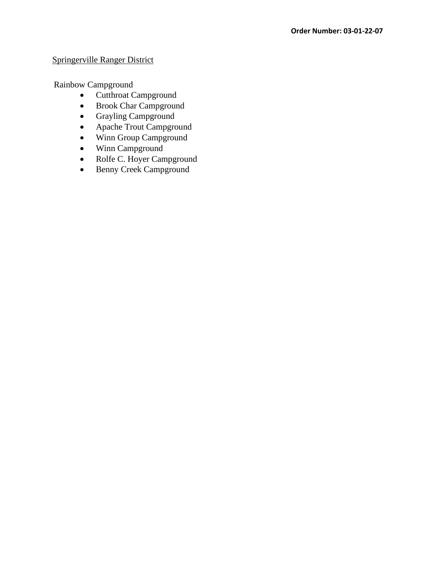#### Springerville Ranger District

Rainbow Campground

- Cutthroat Campground
- Brook Char Campground
- Grayling Campground
- Apache Trout Campground
- Winn Group Campground
- Winn Campground
- Rolfe C. Hoyer Campground
- Benny Creek Campground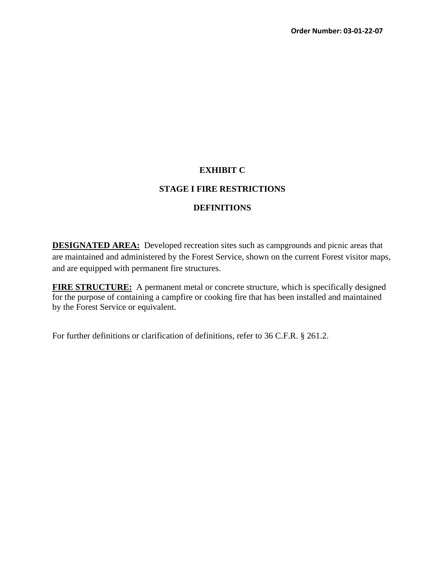#### **EXHIBIT C**

#### **STAGE I FIRE RESTRICTIONS**

#### **DEFINITIONS**

**DESIGNATED AREA:** Developed recreation sites such as campgrounds and picnic areas that are maintained and administered by the Forest Service, shown on the current Forest visitor maps, and are equipped with permanent fire structures.

**FIRE STRUCTURE:** A permanent metal or concrete structure, which is specifically designed for the purpose of containing a campfire or cooking fire that has been installed and maintained by the Forest Service or equivalent.

For further definitions or clarification of definitions, refer to 36 C.F.R. § 261.2.